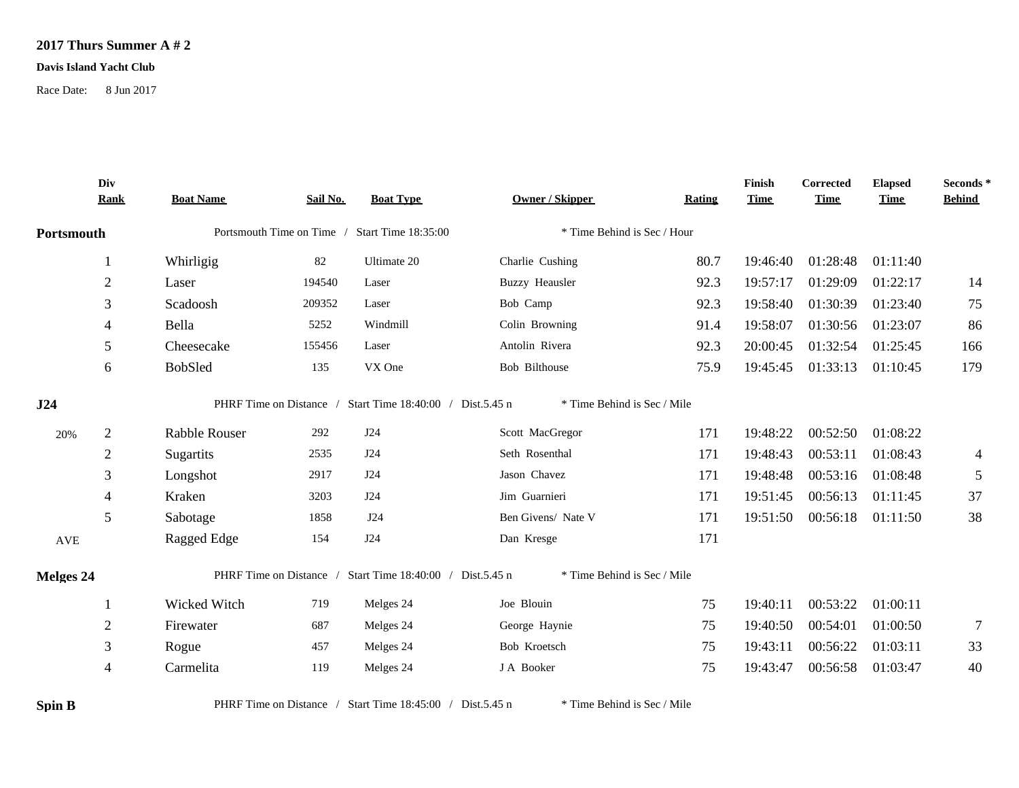## **2017 Thurs Summer A # 2**

## **Davis Island Yacht Club**

Race Date: 8 Jun 2017

|               | Div<br><b>Rank</b> | <b>Boat Name</b> | Sail No. | <b>Boat Type</b>                                          | <b>Owner / Skipper</b>      | Rating | Finish<br><b>Time</b> | <b>Corrected</b><br><b>Time</b> | <b>Elapsed</b><br><b>Time</b> | Seconds *<br><b>Behind</b> |
|---------------|--------------------|------------------|----------|-----------------------------------------------------------|-----------------------------|--------|-----------------------|---------------------------------|-------------------------------|----------------------------|
| Portsmouth    |                    |                  |          | Portsmouth Time on Time / Start Time 18:35:00             | * Time Behind is Sec / Hour |        |                       |                                 |                               |                            |
|               |                    | Whirligig        | 82       | Ultimate 20                                               | Charlie Cushing             | 80.7   | 19:46:40              | 01:28:48                        | 01:11:40                      |                            |
|               | $\boldsymbol{2}$   | Laser            | 194540   | Laser                                                     | <b>Buzzy Heausler</b>       | 92.3   | 19:57:17              | 01:29:09                        | 01:22:17                      | 14                         |
|               | $\mathfrak{Z}$     | Scadoosh         | 209352   | Laser                                                     | Bob Camp                    | 92.3   | 19:58:40              | 01:30:39                        | 01:23:40                      | 75                         |
|               | $\overline{4}$     | Bella            | 5252     | Windmill                                                  | Colin Browning              | 91.4   | 19:58:07              | 01:30:56                        | 01:23:07                      | 86                         |
|               | 5                  | Cheesecake       | 155456   | Laser                                                     | Antolin Rivera              | 92.3   | 20:00:45              | 01:32:54                        | 01:25:45                      | 166                        |
|               | 6                  | <b>BobSled</b>   | 135      | VX One                                                    | Bob Bilthouse               | 75.9   | 19:45:45              | 01:33:13                        | 01:10:45                      | 179                        |
| J24           |                    |                  |          | PHRF Time on Distance / Start Time 18:40:00 / Dist.5.45 n | * Time Behind is Sec / Mile |        |                       |                                 |                               |                            |
| 20%           | $\overline{2}$     | Rabble Rouser    | 292      | J24                                                       | Scott MacGregor             | 171    | 19:48:22              | 00:52:50                        | 01:08:22                      |                            |
|               | $\overline{2}$     | Sugartits        | 2535     | J24                                                       | Seth Rosenthal              | 171    | 19:48:43              | 00:53:11                        | 01:08:43                      | $\overline{4}$             |
|               | 3                  | Longshot         | 2917     | J24                                                       | Jason Chavez                | 171    | 19:48:48              | 00:53:16                        | 01:08:48                      | 5                          |
|               | $\overline{4}$     | Kraken           | 3203     | J24                                                       | Jim Guarnieri               | 171    | 19:51:45              | 00:56:13                        | 01:11:45                      | 37                         |
|               | 5                  | Sabotage         | 1858     | J24                                                       | Ben Givens/ Nate V          | 171    | 19:51:50              | 00:56:18                        | 01:11:50                      | 38                         |
| AVE           |                    | Ragged Edge      | 154      | J24                                                       | Dan Kresge                  | 171    |                       |                                 |                               |                            |
| Melges 24     |                    |                  |          | PHRF Time on Distance / Start Time 18:40:00 / Dist.5.45 n | * Time Behind is Sec / Mile |        |                       |                                 |                               |                            |
|               |                    | Wicked Witch     | 719      | Melges 24                                                 | Joe Blouin                  | 75     | 19:40:11              | 00:53:22                        | 01:00:11                      |                            |
|               | $\overline{2}$     | Firewater        | 687      | Melges 24                                                 | George Haynie               | 75     | 19:40:50              | 00:54:01                        | 01:00:50                      | $\overline{7}$             |
|               | 3                  | Rogue            | 457      | Melges 24                                                 | Bob Kroetsch                | 75     | 19:43:11              | 00:56:22                        | 01:03:11                      | 33                         |
|               | 4                  | Carmelita        | 119      | Melges 24                                                 | J A Booker                  | 75     | 19:43:47              | 00:56:58                        | 01:03:47                      | 40                         |
| <b>Spin B</b> |                    |                  |          | PHRF Time on Distance / Start Time 18:45:00 / Dist.5.45 n | * Time Behind is Sec / Mile |        |                       |                                 |                               |                            |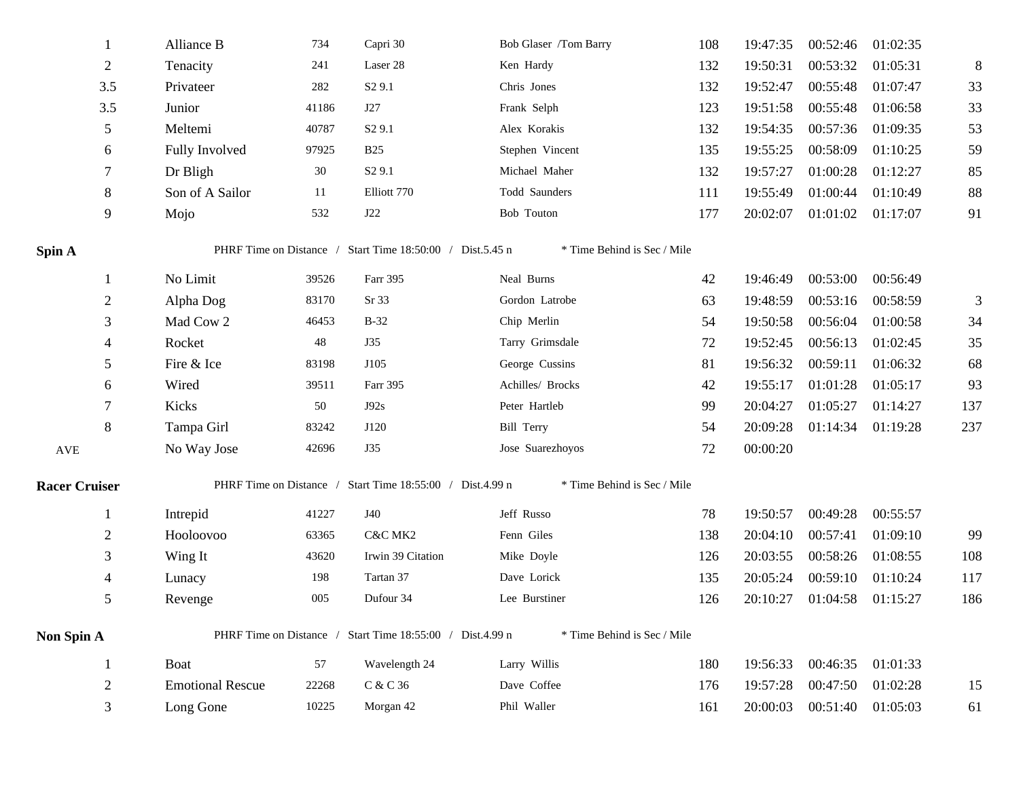|                      |                | Alliance B              | 734   | Capri 30                                                  | Bob Glaser /Tom Barry       | 108 | 19:47:35 | 00:52:46          | 01:02:35 |                |
|----------------------|----------------|-------------------------|-------|-----------------------------------------------------------|-----------------------------|-----|----------|-------------------|----------|----------------|
|                      | $\overline{2}$ | Tenacity                | 241   | Laser 28                                                  | Ken Hardy                   | 132 | 19:50:31 | 00:53:32          | 01:05:31 | $8\phantom{.}$ |
|                      | 3.5            | Privateer               | 282   | S <sub>2</sub> 9.1                                        | Chris Jones                 | 132 | 19:52:47 | 00:55:48          | 01:07:47 | 33             |
|                      | 3.5            | Junior                  | 41186 | J27                                                       | Frank Selph                 | 123 | 19:51:58 | 00:55:48          | 01:06:58 | 33             |
|                      | 5              | Meltemi                 | 40787 | S <sub>2</sub> 9.1                                        | Alex Korakis                | 132 | 19:54:35 | 00:57:36          | 01:09:35 | 53             |
|                      | 6              | Fully Involved          | 97925 | <b>B25</b>                                                | Stephen Vincent             | 135 | 19:55:25 | 00:58:09          | 01:10:25 | 59             |
|                      |                | Dr Bligh                | 30    | S <sub>2</sub> 9.1                                        | Michael Maher               | 132 | 19:57:27 | 01:00:28          | 01:12:27 | 85             |
|                      | 8              | Son of A Sailor         | 11    | Elliott 770                                               | Todd Saunders               | 111 | 19:55:49 | 01:00:44          | 01:10:49 | 88             |
|                      | 9              | Mojo                    | 532   | J22                                                       | Bob Touton                  | 177 | 20:02:07 | 01:01:02 01:17:07 |          | 91             |
| Spin A               |                |                         |       | PHRF Time on Distance / Start Time 18:50:00 / Dist.5.45 n | * Time Behind is Sec / Mile |     |          |                   |          |                |
|                      | 1              | No Limit                | 39526 | Farr 395                                                  | Neal Burns                  | 42  | 19:46:49 | 00:53:00          | 00:56:49 |                |
|                      | $\mathbf{2}$   | Alpha Dog               | 83170 | Sr 33                                                     | Gordon Latrobe              | 63  | 19:48:59 | 00:53:16          | 00:58:59 | 3              |
|                      | 3              | Mad Cow 2               | 46453 | $B-32$                                                    | Chip Merlin                 | 54  | 19:50:58 | 00:56:04          | 01:00:58 | 34             |
|                      |                | Rocket                  | 48    | <b>J35</b>                                                | Tarry Grimsdale             | 72  | 19:52:45 | 00:56:13          | 01:02:45 | 35             |
|                      | 5              | Fire & Ice              | 83198 | J105                                                      | George Cussins              | 81  | 19:56:32 | 00:59:11          | 01:06:32 | 68             |
|                      | 6              | Wired                   | 39511 | Farr 395                                                  | Achilles/ Brocks            | 42  | 19:55:17 | 01:01:28          | 01:05:17 | 93             |
|                      | 7              | Kicks                   | 50    | J92s                                                      | Peter Hartleb               | 99  | 20:04:27 | 01:05:27          | 01:14:27 | 137            |
|                      | 8              | Tampa Girl              | 83242 | J120                                                      | <b>Bill Terry</b>           | 54  | 20:09:28 | 01:14:34 01:19:28 |          | 237            |
| AVE                  |                | No Way Jose             | 42696 | J35                                                       | Jose Suarezhoyos            | 72  | 00:00:20 |                   |          |                |
| <b>Racer Cruiser</b> |                |                         |       | PHRF Time on Distance / Start Time 18:55:00 / Dist.4.99 n | * Time Behind is Sec / Mile |     |          |                   |          |                |
|                      | $\mathbf{1}$   | Intrepid                | 41227 | J40                                                       | Jeff Russo                  | 78  | 19:50:57 | 00:49:28          | 00:55:57 |                |
|                      | $\mathbf{2}$   | Hooloovoo               | 63365 | C&C MK2                                                   | Fenn Giles                  | 138 | 20:04:10 | 00:57:41          | 01:09:10 | 99             |
|                      | 3              | Wing It                 | 43620 | Irwin 39 Citation                                         | Mike Doyle                  | 126 | 20:03:55 | 00:58:26          | 01:08:55 | 108            |
|                      |                | Lunacy                  | 198   | Tartan 37                                                 | Dave Lorick                 | 135 | 20:05:24 | 00:59:10          | 01:10:24 | 117            |
|                      | 5              | Revenge                 | 005   | Dufour 34                                                 | Lee Burstiner               | 126 | 20:10:27 | 01:04:58 01:15:27 |          | 186            |
| Non Spin A           |                |                         |       | PHRF Time on Distance / Start Time 18:55:00 / Dist.4.99 n | * Time Behind is Sec / Mile |     |          |                   |          |                |
|                      | 1              | Boat                    | 57    | Wavelength 24                                             | Larry Willis                | 180 | 19:56:33 | 00:46:35 01:01:33 |          |                |
|                      | $\mathbf{2}$   | <b>Emotional Rescue</b> | 22268 | C & C 36                                                  | Dave Coffee                 | 176 | 19:57:28 | 00:47:50 01:02:28 |          | 15             |
|                      | 3              | Long Gone               | 10225 | Morgan 42                                                 | Phil Waller                 | 161 | 20:00:03 | 00:51:40 01:05:03 |          | 61             |
|                      |                |                         |       |                                                           |                             |     |          |                   |          |                |